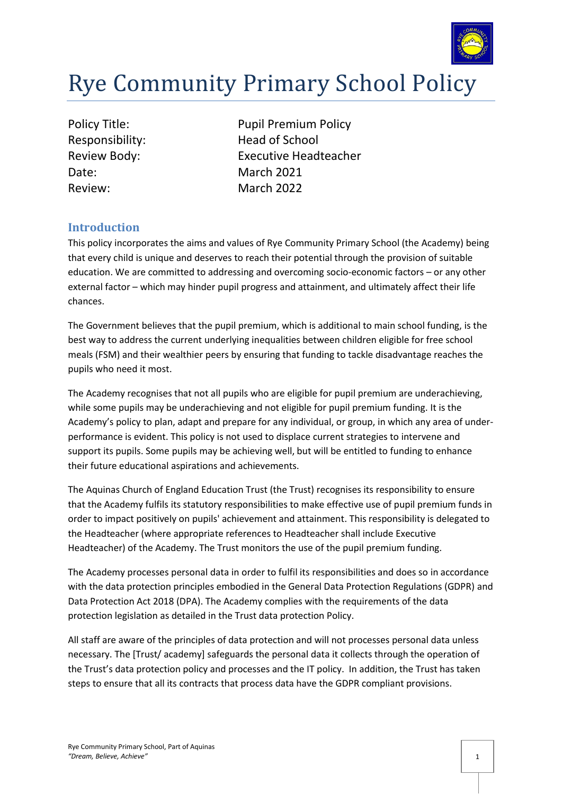

# Rye Community Primary School Policy

| <b>Policy Title:</b> |
|----------------------|
| Responsibility:      |
| Review Body:         |
| Date:                |
| Review:              |

Pupil Premium Policy Head of School **Executive Headteacher March 2021** March 2022

### **Introduction**

This policy incorporates the aims and values of Rye Community Primary School (the Academy) being that every child is unique and deserves to reach their potential through the provision of suitable education. We are committed to addressing and overcoming socio-economic factors – or any other external factor – which may hinder pupil progress and attainment, and ultimately affect their life chances.

The Government believes that the pupil premium, which is additional to main school funding, is the best way to address the current underlying inequalities between children eligible for free school meals (FSM) and their wealthier peers by ensuring that funding to tackle disadvantage reaches the pupils who need it most.

The Academy recognises that not all pupils who are eligible for pupil premium are underachieving, while some pupils may be underachieving and not eligible for pupil premium funding. It is the Academy's policy to plan, adapt and prepare for any individual, or group, in which any area of underperformance is evident. This policy is not used to displace current strategies to intervene and support its pupils. Some pupils may be achieving well, but will be entitled to funding to enhance their future educational aspirations and achievements.

The Aquinas Church of England Education Trust (the Trust) recognises its responsibility to ensure that the Academy fulfils its statutory responsibilities to make effective use of pupil premium funds in order to impact positively on pupils' achievement and attainment. This responsibility is delegated to the Headteacher (where appropriate references to Headteacher shall include Executive Headteacher) of the Academy. The Trust monitors the use of the pupil premium funding.

The Academy processes personal data in order to fulfil its responsibilities and does so in accordance with the data protection principles embodied in the General Data Protection Regulations (GDPR) and Data Protection Act 2018 (DPA). The Academy complies with the requirements of the data protection legislation as detailed in the Trust data protection Policy.

All staff are aware of the principles of data protection and will not processes personal data unless necessary. The [Trust/ academy] safeguards the personal data it collects through the operation of the Trust's data protection policy and processes and the IT policy. In addition, the Trust has taken steps to ensure that all its contracts that process data have the GDPR compliant provisions.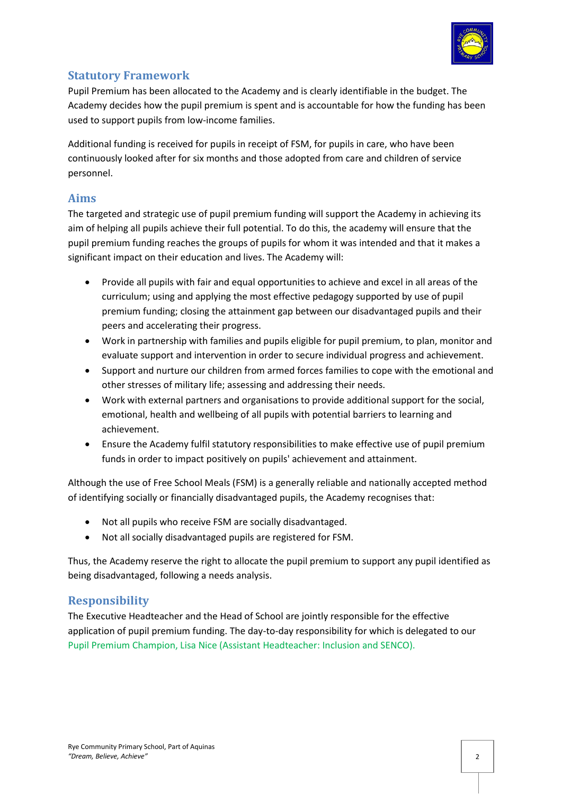

# **Statutory Framework**

Pupil Premium has been allocated to the Academy and is clearly identifiable in the budget. The Academy decides how the pupil premium is spent and is accountable for how the funding has been used to support pupils from low-income families.

Additional funding is received for pupils in receipt of FSM, for pupils in care, who have been continuously looked after for six months and those adopted from care and children of service personnel.

# **Aims**

The targeted and strategic use of pupil premium funding will support the Academy in achieving its aim of helping all pupils achieve their full potential. To do this, the academy will ensure that the pupil premium funding reaches the groups of pupils for whom it was intended and that it makes a significant impact on their education and lives. The Academy will:

- Provide all pupils with fair and equal opportunities to achieve and excel in all areas of the curriculum; using and applying the most effective pedagogy supported by use of pupil premium funding; closing the attainment gap between our disadvantaged pupils and their peers and accelerating their progress.
- Work in partnership with families and pupils eligible for pupil premium, to plan, monitor and evaluate support and intervention in order to secure individual progress and achievement.
- Support and nurture our children from armed forces families to cope with the emotional and other stresses of military life; assessing and addressing their needs.
- Work with external partners and organisations to provide additional support for the social, emotional, health and wellbeing of all pupils with potential barriers to learning and achievement.
- Ensure the Academy fulfil statutory responsibilities to make effective use of pupil premium funds in order to impact positively on pupils' achievement and attainment.

Although the use of Free School Meals (FSM) is a generally reliable and nationally accepted method of identifying socially or financially disadvantaged pupils, the Academy recognises that:

- Not all pupils who receive FSM are socially disadvantaged.
- Not all socially disadvantaged pupils are registered for FSM.

Thus, the Academy reserve the right to allocate the pupil premium to support any pupil identified as being disadvantaged, following a needs analysis.

# **Responsibility**

The Executive Headteacher and the Head of School are jointly responsible for the effective application of pupil premium funding. The day-to-day responsibility for which is delegated to our Pupil Premium Champion, Lisa Nice (Assistant Headteacher: Inclusion and SENCO).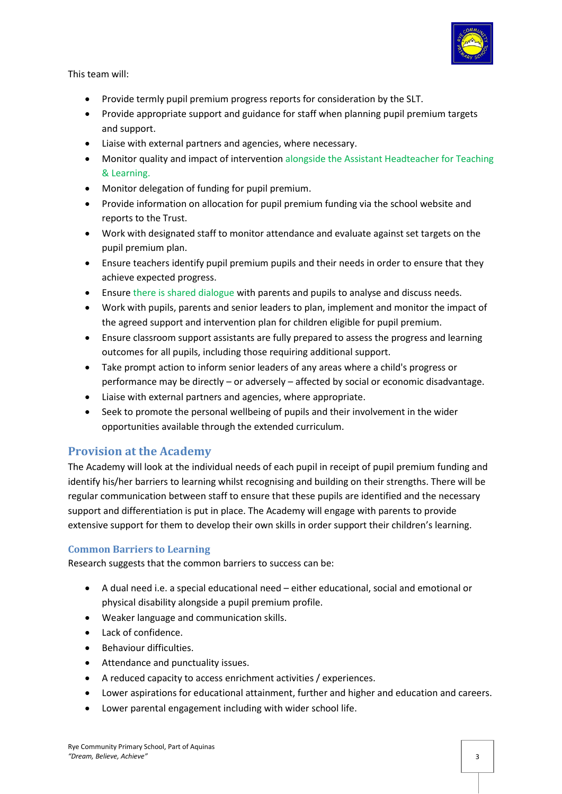

This team will:

- Provide termly pupil premium progress reports for consideration by the SLT.
- Provide appropriate support and guidance for staff when planning pupil premium targets and support.
- Liaise with external partners and agencies, where necessary.
- Monitor quality and impact of intervention alongside the Assistant Headteacher for Teaching & Learning.
- Monitor delegation of funding for pupil premium.
- Provide information on allocation for pupil premium funding via the school website and reports to the Trust.
- Work with designated staff to monitor attendance and evaluate against set targets on the pupil premium plan.
- Ensure teachers identify pupil premium pupils and their needs in order to ensure that they achieve expected progress.
- Ensure there is shared dialogue with parents and pupils to analyse and discuss needs.
- Work with pupils, parents and senior leaders to plan, implement and monitor the impact of the agreed support and intervention plan for children eligible for pupil premium.
- Ensure classroom support assistants are fully prepared to assess the progress and learning outcomes for all pupils, including those requiring additional support.
- Take prompt action to inform senior leaders of any areas where a child's progress or performance may be directly – or adversely – affected by social or economic disadvantage.
- Liaise with external partners and agencies, where appropriate.
- Seek to promote the personal wellbeing of pupils and their involvement in the wider opportunities available through the extended curriculum.

# **Provision at the Academy**

The Academy will look at the individual needs of each pupil in receipt of pupil premium funding and identify his/her barriers to learning whilst recognising and building on their strengths. There will be regular communication between staff to ensure that these pupils are identified and the necessary support and differentiation is put in place. The Academy will engage with parents to provide extensive support for them to develop their own skills in order support their children's learning.

#### **Common Barriers to Learning**

Research suggests that the common barriers to success can be:

- A dual need i.e. a special educational need either educational, social and emotional or physical disability alongside a pupil premium profile.
- Weaker language and communication skills.
- Lack of confidence.
- Behaviour difficulties.
- Attendance and punctuality issues.
- A reduced capacity to access enrichment activities / experiences.
- Lower aspirations for educational attainment, further and higher and education and careers.
- Lower parental engagement including with wider school life.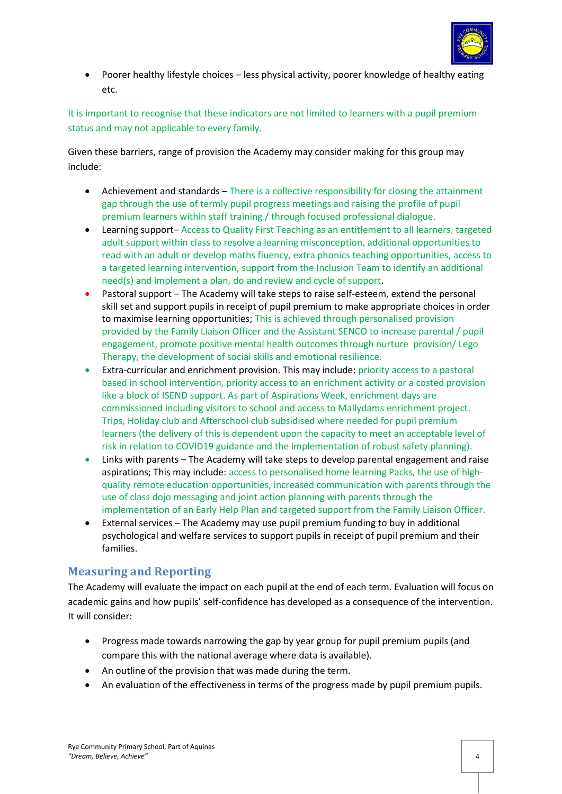

• Poorer healthy lifestyle choices – less physical activity, poorer knowledge of healthy eating etc.

It is important to recognise that these indicators are not limited to learners with a pupil premium status and may not applicable to every family.

Given these barriers, range of provision the Academy may consider making for this group may include:

- Achievement and standards There is a collective responsibility for closing the attainment gap through the use of termly pupil progress meetings and raising the profile of pupil premium learners within staff training / through focused professional dialogue.
- Learning support– Access to Quality First Teaching as an entitlement to all learners, targeted adult support within class to resolve a learning misconception, additional opportunities to read with an adult or develop maths fluency, extra phonics teaching opportunities, access to a targeted learning intervention, support from the Inclusion Team to identify an additional need(s) and implement a plan, do and review and cycle of support.
- Pastoral support The Academy will take steps to raise self-esteem, extend the personal skill set and support pupils in receipt of pupil premium to make appropriate choices in order to maximise learning opportunities; This is achieved through personalised provision provided by the Family Liaison Officer and the Assistant SENCO to increase parental / pupil engagement, promote positive mental health outcomes through nurture provision/ Lego Therapy, the development of social skills and emotional resilience.
- Extra-curricular and enrichment provision. This may include: priority access to a pastoral based in school intervention, priority access to an enrichment activity or a costed provision like a block of ISEND support. As part of Aspirations Week, enrichment days are commissioned including visitors to school and access to Mallydams enrichment project. Trips, Holiday club and Afterschool club subsidised where needed for pupil premium learners (the delivery of this is dependent upon the capacity to meet an acceptable level of risk in relation to COVID19 guidance and the implementation of robust safety planning).
- Links with parents The Academy will take steps to develop parental engagement and raise aspirations; This may include: access to personalised home learning Packs, the use of highquality remote education opportunities, increased communication with parents through the use of class dojo messaging and joint action planning with parents through the implementation of an Early Help Plan and targeted support from the Family Liaison Officer.
- External services The Academy may use pupil premium funding to buy in additional psychological and welfare services to support pupils in receipt of pupil premium and their families.

# **Measuring and Reporting**

The Academy will evaluate the impact on each pupil at the end of each term. Evaluation will focus on academic gains and how pupils' self-confidence has developed as a consequence of the intervention. It will consider:

- Progress made towards narrowing the gap by year group for pupil premium pupils (and compare this with the national average where data is available).
- An outline of the provision that was made during the term.
- An evaluation of the effectiveness in terms of the progress made by pupil premium pupils.